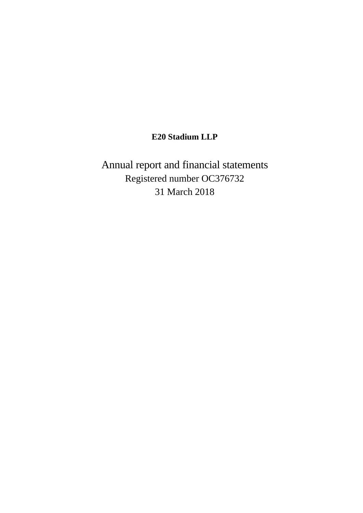# **E20 Stadium LLP**

Annual report and financial statements Registered number OC376732 31 March 2018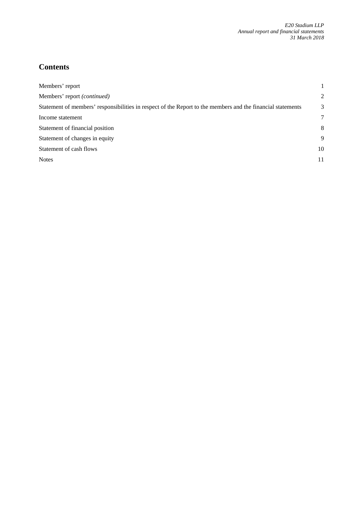# **Contents**

| Members' report                                                                                             |    |
|-------------------------------------------------------------------------------------------------------------|----|
| Members' report <i>(continued)</i>                                                                          | 2  |
| Statement of members' responsibilities in respect of the Report to the members and the financial statements | 3  |
| Income statement                                                                                            | 7  |
| Statement of financial position                                                                             | 8  |
| Statement of changes in equity                                                                              | 9  |
| Statement of cash flows                                                                                     | 10 |
| <b>Notes</b>                                                                                                | 11 |
|                                                                                                             |    |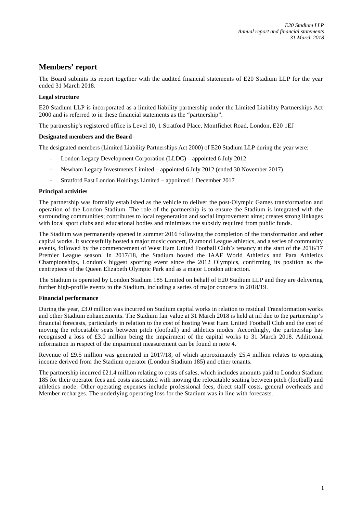# **Members' report**

The Board submits its report together with the audited financial statements of E20 Stadium LLP for the year ended 31 March 2018.

# **Legal structure**

E20 Stadium LLP is incorporated as a limited liability partnership under the Limited Liability Partnerships Act 2000 and is referred to in these financial statements as the "partnership".

The partnership's registered office is Level 10, 1 Stratford Place, Montfichet Road, London, E20 1EJ

### **Designated members and the Board**

The designated members (Limited Liability Partnerships Act 2000) of E20 Stadium LLP during the year were:

- London Legacy Development Corporation (LLDC) appointed 6 July 2012
- Newham Legacy Investments Limited appointed 6 July 2012 (ended 30 November 2017)
- Stratford East London Holdings Limited appointed 1 December 2017

### **Principal activities**

The partnership was formally established as the vehicle to deliver the post-Olympic Games transformation and operation of the London Stadium. The role of the partnership is to ensure the Stadium is integrated with the surrounding communities; contributes to local regeneration and social improvement aims; creates strong linkages with local sport clubs and educational bodies and minimises the subsidy required from public funds.

The Stadium was permanently opened in summer 2016 following the completion of the transformation and other capital works. It successfully hosted a major music concert, Diamond League athletics, and a series of community events, followed by the commencement of West Ham United Football Club's tenancy at the start of the 2016/17 Premier League season. In 2017/18, the Stadium hosted the IAAF World Athletics and Para Athletics Championships, London's biggest sporting event since the 2012 Olympics, confirming its position as the centrepiece of the Queen Elizabeth Olympic Park and as a major London attraction.

The Stadium is operated by London Stadium 185 Limited on behalf of E20 Stadium LLP and they are delivering further high-profile events to the Stadium, including a series of major concerts in 2018/19.

### **Financial performance**

During the year, £3.0 million was incurred on Stadium capital works in relation to residual Transformation works and other Stadium enhancements. The Stadium fair value at 31 March 2018 is held at nil due to the partnership's financial forecasts, particularly in relation to the cost of hosting West Ham United Football Club and the cost of moving the relocatable seats between pitch (football) and athletics modes. Accordingly, the partnership has recognised a loss of £3.0 million being the impairment of the capital works to 31 March 2018. Additional information in respect of the impairment measurement can be found in note 4.

Revenue of £9.5 million was generated in 2017/18, of which approximately £5.4 million relates to operating income derived from the Stadium operator (London Stadium 185) and other tenants.

The partnership incurred £21.4 million relating to costs of sales, which includes amounts paid to London Stadium 185 for their operator fees and costs associated with moving the relocatable seating between pitch (football) and athletics mode. Other operating expenses include professional fees, direct staff costs, general overheads and Member recharges. The underlying operating loss for the Stadium was in line with forecasts.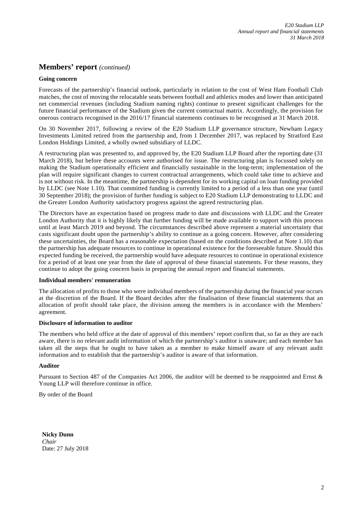# **Members' report** *(continued)*

### **Going concern**

Forecasts of the partnership's financial outlook, particularly in relation to the cost of West Ham Football Club matches, the cost of moving the relocatable seats between football and athletics modes and lower than anticipated net commercial revenues (including Stadium naming rights) continue to present significant challenges for the future financial performance of the Stadium given the current contractual matrix. Accordingly, the provision for onerous contracts recognised in the 2016/17 financial statements continues to be recognised at 31 March 2018.

On 30 November 2017, following a review of the E20 Stadium LLP governance structure, Newham Legacy Investments Limited retired from the partnership and, from 1 December 2017, was replaced by Stratford East London Holdings Limited, a wholly owned subsidiary of LLDC.

A restructuring plan was presented to, and approved by, the E20 Stadium LLP Board after the reporting date (31 March 2018), but before these accounts were authorised for issue. The restructuring plan is focussed solely on making the Stadium operationally efficient and financially sustainable in the long-term; implementation of the plan will require significant changes to current contractual arrangements, which could take time to achieve and is not without risk. In the meantime, the partnership is dependent for its working capital on loan funding provided by LLDC (see Note 1.10). That committed funding is currently limited to a period of a less than one year (until 30 September 2018); the provision of further funding is subject to E20 Stadium LLP demonstrating to LLDC and the Greater London Authority satisfactory progress against the agreed restructuring plan.

The Directors have an expectation based on progress made to date and discussions with LLDC and the Greater London Authority that it is highly likely that further funding will be made available to support with this process until at least March 2019 and beyond. The circumstances described above represent a material uncertainty that casts significant doubt upon the partnership's ability to continue as a going concern. However, after considering these uncertainties, the Board has a reasonable expectation (based on the conditions described at Note 1.10) that the partnership has adequate resources to continue in operational existence for the foreseeable future. Should this expected funding be received, the partnership would have adequate resources to continue in operational existence for a period of at least one year from the date of approval of these financial statements. For these reasons, they continue to adopt the going concern basis in preparing the annual report and financial statements.

### **Individual members' remuneration**

The allocation of profits to those who were individual members of the partnership during the financial year occurs at the discretion of the Board. If the Board decides after the finalisation of these financial statements that an allocation of profit should take place, the division among the members is in accordance with the Members' agreement.

# **Disclosure of information to auditor**

The members who held office at the date of approval of this members' report confirm that, so far as they are each aware, there is no relevant audit information of which the partnership's auditor is unaware; and each member has taken all the steps that he ought to have taken as a member to make himself aware of any relevant audit information and to establish that the partnership's auditor is aware of that information.

### **Auditor**

Pursuant to Section 487 of the Companies Act 2006, the auditor will be deemed to be reappointed and Ernst & Young LLP will therefore continue in office.

By order of the Board

**Nicky Dunn** *Chair* Date: 27 July 2018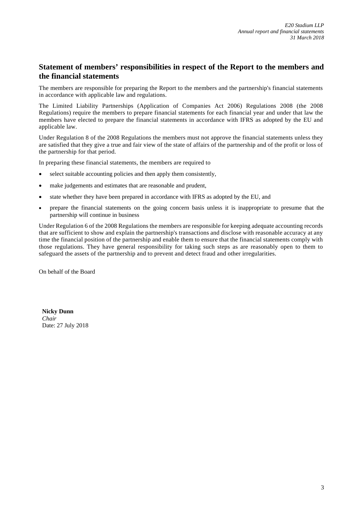# **Statement of members' responsibilities in respect of the Report to the members and the financial statements**

The members are responsible for preparing the Report to the members and the partnership's financial statements in accordance with applicable law and regulations.

The Limited Liability Partnerships (Application of Companies Act 2006) Regulations 2008 (the 2008 Regulations) require the members to prepare financial statements for each financial year and under that law the members have elected to prepare the financial statements in accordance with IFRS as adopted by the EU and applicable law.

Under Regulation 8 of the 2008 Regulations the members must not approve the financial statements unless they are satisfied that they give a true and fair view of the state of affairs of the partnership and of the profit or loss of the partnership for that period.

In preparing these financial statements, the members are required to

- select suitable accounting policies and then apply them consistently,
- make judgements and estimates that are reasonable and prudent,
- state whether they have been prepared in accordance with IFRS as adopted by the EU, and
- prepare the financial statements on the going concern basis unless it is inappropriate to presume that the partnership will continue in business

Under Regulation 6 of the 2008 Regulations the members are responsible for keeping adequate accounting records that are sufficient to show and explain the partnership's transactions and disclose with reasonable accuracy at any time the financial position of the partnership and enable them to ensure that the financial statements comply with those regulations. They have general responsibility for taking such steps as are reasonably open to them to safeguard the assets of the partnership and to prevent and detect fraud and other irregularities.

On behalf of the Board

**Nicky Dunn** *Chair* Date: 27 July 2018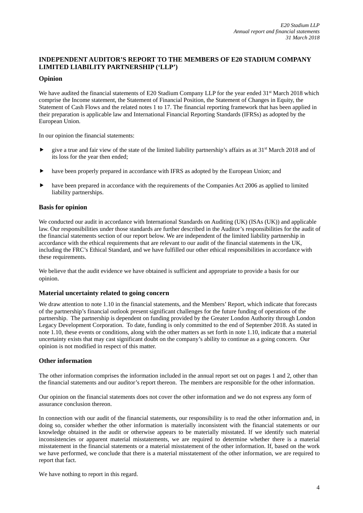# **INDEPENDENT AUDITOR'S REPORT TO THE MEMBERS OF E20 STADIUM COMPANY LIMITED LIABILITY PARTNERSHIP ('LLP')**

# **Opinion**

We have audited the financial statements of E20 Stadium Company LLP for the year ended 31<sup>st</sup> March 2018 which comprise the Income statement, the Statement of Financial Position, the Statement of Changes in Equity, the Statement of Cash Flows and the related notes 1 to 17. The financial reporting framework that has been applied in their preparation is applicable law and International Financial Reporting Standards (IFRSs) as adopted by the European Union.

In our opinion the financial statements:

- $\blacktriangleright$  give a true and fair view of the state of the limited liability partnership's affairs as at 31<sup>st</sup> March 2018 and of its loss for the year then ended;
- have been properly prepared in accordance with IFRS as adopted by the European Union; and
- have been prepared in accordance with the requirements of the Companies Act 2006 as applied to limited liability partnerships.

### **Basis for opinion**

We conducted our audit in accordance with International Standards on Auditing (UK) (ISAs (UK)) and applicable law. Our responsibilities under those standards are further described in the Auditor's responsibilities for the audit of the financial statements section of our report below. We are independent of the limited liability partnership in accordance with the ethical requirements that are relevant to our audit of the financial statements in the UK, including the FRC's Ethical Standard, and we have fulfilled our other ethical responsibilities in accordance with these requirements.

We believe that the audit evidence we have obtained is sufficient and appropriate to provide a basis for our opinion.

# **Material uncertainty related to going concern**

We draw attention to note 1.10 in the financial statements, and the Members' Report, which indicate that forecasts of the partnership's financial outlook present significant challenges for the future funding of operations of the partnership. The partnership is dependent on funding provided by the Greater London Authority through London Legacy Development Corporation. To date, funding is only committed to the end of September 2018. As stated in note 1.10, these events or conditions, along with the other matters as set forth in note 1.10, indicate that a material uncertainty exists that may cast significant doubt on the company's ability to continue as a going concern. Our opinion is not modified in respect of this matter.

### **Other information**

The other information comprises the information included in the annual report set out on pages 1 and 2, other than the financial statements and our auditor's report thereon. The members are responsible for the other information.

Our opinion on the financial statements does not cover the other information and we do not express any form of assurance conclusion thereon.

In connection with our audit of the financial statements, our responsibility is to read the other information and, in doing so, consider whether the other information is materially inconsistent with the financial statements or our knowledge obtained in the audit or otherwise appears to be materially misstated. If we identify such material inconsistencies or apparent material misstatements, we are required to determine whether there is a material misstatement in the financial statements or a material misstatement of the other information. If, based on the work we have performed, we conclude that there is a material misstatement of the other information, we are required to report that fact.

We have nothing to report in this regard.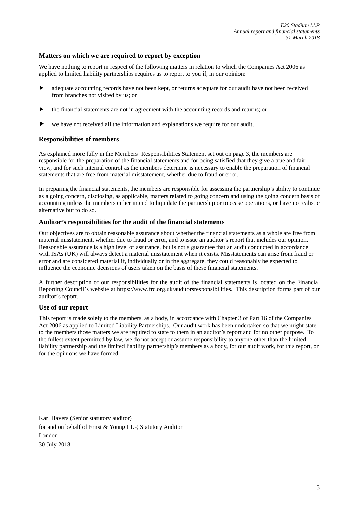# **Matters on which we are required to report by exception**

We have nothing to report in respect of the following matters in relation to which the Companies Act 2006 as applied to limited liability partnerships requires us to report to you if, in our opinion:

- adequate accounting records have not been kept, or returns adequate for our audit have not been received from branches not visited by us; or
- the financial statements are not in agreement with the accounting records and returns; or
- we have not received all the information and explanations we require for our audit.

### **Responsibilities of members**

As explained more fully in the Members' Responsibilities Statement set out on page 3, the members are responsible for the preparation of the financial statements and for being satisfied that they give a true and fair view, and for such internal control as the members determine is necessary to enable the preparation of financial statements that are free from material misstatement, whether due to fraud or error.

In preparing the financial statements, the members are responsible for assessing the partnership's ability to continue as a going concern, disclosing, as applicable, matters related to going concern and using the going concern basis of accounting unless the members either intend to liquidate the partnership or to cease operations, or have no realistic alternative but to do so.

# **Auditor's responsibilities for the audit of the financial statements**

Our objectives are to obtain reasonable assurance about whether the financial statements as a whole are free from material misstatement, whether due to fraud or error, and to issue an auditor's report that includes our opinion. Reasonable assurance is a high level of assurance, but is not a guarantee that an audit conducted in accordance with ISAs (UK) will always detect a material misstatement when it exists. Misstatements can arise from fraud or error and are considered material if, individually or in the aggregate, they could reasonably be expected to influence the economic decisions of users taken on the basis of these financial statements.

A further description of our responsibilities for the audit of the financial statements is located on the Financial Reporting Council's website at https://www.frc.org.uk/auditorsresponsibilities. This description forms part of our auditor's report.

### **Use of our report**

This report is made solely to the members, as a body, in accordance with Chapter 3 of Part 16 of the Companies Act 2006 as applied to Limited Liability Partnerships. Our audit work has been undertaken so that we might state to the members those matters we are required to state to them in an auditor's report and for no other purpose. To the fullest extent permitted by law, we do not accept or assume responsibility to anyone other than the limited liability partnership and the limited liability partnership's members as a body, for our audit work, for this report, or for the opinions we have formed.

Karl Havers (Senior statutory auditor) for and on behalf of Ernst & Young LLP, Statutory Auditor London 30 July 2018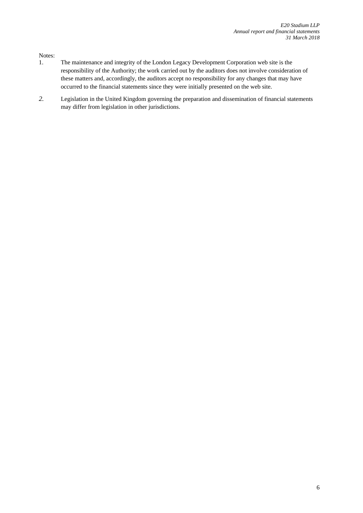Notes:

- 1. The maintenance and integrity of the London Legacy Development Corporation web site is the responsibility of the Authority; the work carried out by the auditors does not involve consideration of these matters and, accordingly, the auditors accept no responsibility for any changes that may have occurred to the financial statements since they were initially presented on the web site.
- *2.* Legislation in the United Kingdom governing the preparation and dissemination of financial statements may differ from legislation in other jurisdictions.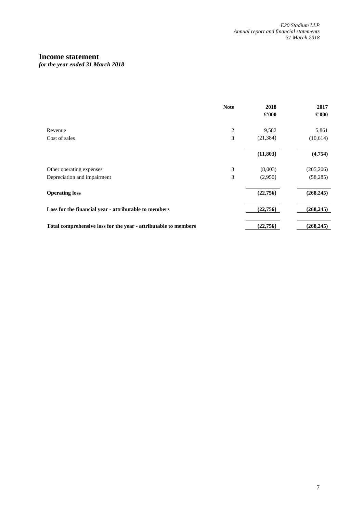# **Income statement**

*for the year ended 31 March 2018* 

|                                                                 | <b>Note</b> | 2018          | 2017          |
|-----------------------------------------------------------------|-------------|---------------|---------------|
|                                                                 |             | $\pounds 000$ | $\pounds 000$ |
| Revenue                                                         | 2           | 9,582         | 5,861         |
| Cost of sales                                                   | 3           | (21, 384)     | (10,614)      |
|                                                                 |             | (11, 803)     | (4,754)       |
| Other operating expenses                                        | 3           | (8,003)       | (205, 206)    |
| Depreciation and impairment                                     | 3           | (2,950)       | (58, 285)     |
| <b>Operating loss</b>                                           |             | (22,756)      | (268, 245)    |
| Loss for the financial year - attributable to members           |             | (22,756)      | (268, 245)    |
| Total comprehensive loss for the year - attributable to members |             | (22,756)      | (268, 245)    |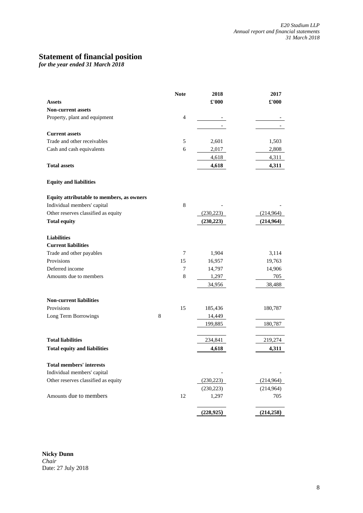# **Statement of financial position**

*for the year ended 31 March 2018* 

| <b>Assets</b>                             |   | <b>Note</b>    | 2018<br>£'000 | 2017<br>£'000 |
|-------------------------------------------|---|----------------|---------------|---------------|
| Non-current assets                        |   |                |               |               |
| Property, plant and equipment             |   | $\overline{4}$ |               |               |
|                                           |   |                |               |               |
| <b>Current assets</b>                     |   |                |               |               |
| Trade and other receivables               |   | 5              | 2,601         | 1,503         |
| Cash and cash equivalents                 |   | 6              | 2,017         | 2,808         |
|                                           |   |                | 4,618         | 4,311         |
| <b>Total assets</b>                       |   |                | 4,618         | 4,311         |
| <b>Equity and liabilities</b>             |   |                |               |               |
| Equity attributable to members, as owners |   |                |               |               |
| Individual members' capital               |   | 8              |               |               |
| Other reserves classified as equity       |   |                | (230, 223)    | (214, 964)    |
| <b>Total equity</b>                       |   |                | (230, 223)    | (214,964)     |
| <b>Liabilities</b>                        |   |                |               |               |
| <b>Current liabilities</b>                |   |                |               |               |
| Trade and other payables                  |   | 7              | 1,904         | 3,114         |
| Provisions                                |   | 15             | 16,957        | 19,763        |
| Deferred income                           |   | 7              | 14,797        | 14,906        |
| Amounts due to members                    |   | 8              | 1,297         | 705           |
|                                           |   |                | 34,956        | 38,488        |
| <b>Non-current liabilities</b>            |   |                |               |               |
| Provisions                                |   | 15             | 185,436       | 180,787       |
| Long Term Borrowings                      | 8 |                | 14,449        |               |
|                                           |   |                | 199,885       | 180,787       |
| <b>Total liabilities</b>                  |   |                | 234,841       | 219,274       |
| <b>Total equity and liabilities</b>       |   |                | 4,618         | 4,311         |
| <b>Total members' interests</b>           |   |                |               |               |
| Individual members' capital               |   |                |               |               |
| Other reserves classified as equity       |   |                | (230, 223)    | (214, 964)    |
|                                           |   |                | (230, 223)    | (214,964)     |
| Amounts due to members                    |   | 12             | 1,297         | 705           |
|                                           |   |                | (228, 925)    | (214, 258)    |

**Nicky Dunn** *Chair* Date: 27 July 2018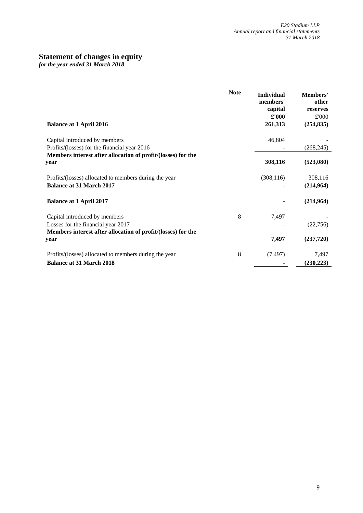# **Statement of changes in equity**

*for the year ended 31 March 2018* 

| <b>Balance at 1 April 2016</b>                                                                                       | <b>Note</b> | <b>Individual</b><br>members'<br>capital<br>£'000<br>261,313 | Members'<br>other<br>reserves<br>£'000<br>(254, 835) |
|----------------------------------------------------------------------------------------------------------------------|-------------|--------------------------------------------------------------|------------------------------------------------------|
| Capital introduced by members                                                                                        |             | 46,804                                                       |                                                      |
| Profits/(losses) for the financial year 2016<br>Members interest after allocation of profit/(losses) for the<br>year |             | 308,116                                                      | (268, 245)<br>(523,080)                              |
| Profits/(losses) allocated to members during the year<br><b>Balance at 31 March 2017</b>                             |             | (308, 116)                                                   | 308,116<br>(214, 964)                                |
| <b>Balance at 1 April 2017</b>                                                                                       |             |                                                              | (214,964)                                            |
| Capital introduced by members                                                                                        | 8           | 7,497                                                        |                                                      |
| Losses for the financial year 2017                                                                                   |             |                                                              | (22,756)                                             |
| Members interest after allocation of profit/(losses) for the<br>year                                                 |             | 7,497                                                        | (237,720)                                            |
| Profits/(losses) allocated to members during the year                                                                | 8           | (7, 497)                                                     | 7,497                                                |
| <b>Balance at 31 March 2018</b>                                                                                      |             |                                                              | (230, 223)                                           |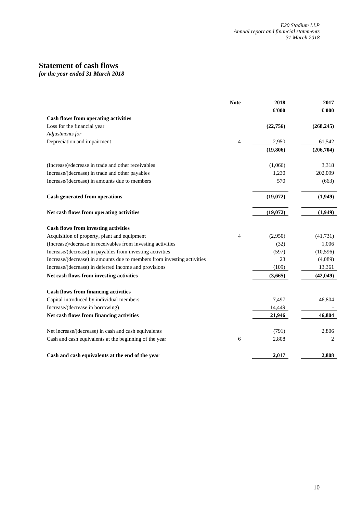# **Statement of cash flows**

*for the year ended 31 March 2018* 

|                                                                         | <b>Note</b>    | 2018<br>£'000 | 2017<br>£'000 |
|-------------------------------------------------------------------------|----------------|---------------|---------------|
| Cash flows from operating activities                                    |                |               |               |
| Loss for the financial year                                             |                | (22,756)      | (268, 245)    |
| Adjustments for                                                         |                |               |               |
| Depreciation and impairment                                             | $\overline{4}$ | 2,950         | 61,542        |
|                                                                         |                | (19, 806)     | (206, 704)    |
| (Increase)/decrease in trade and other receivables                      |                | (1,066)       | 3,318         |
| Increase/(decrease) in trade and other payables                         |                | 1,230         | 202,099       |
| Increase/(decrease) in amounts due to members                           |                | 570           | (663)         |
| <b>Cash generated from operations</b>                                   |                | (19,072)      | (1,949)       |
| Net cash flows from operating activities                                |                | (19,072)      | (1,949)       |
| <b>Cash flows from investing activities</b>                             |                |               |               |
| Acquisition of property, plant and equipment                            | 4              | (2,950)       | (41, 731)     |
| (Increase)/decrease in receivables from investing activities            |                | (32)          | 1,006         |
| Increase/(decrease) in payables from investing activities               |                | (597)         | (10, 596)     |
| Increase/(decrease) in amounts due to members from investing activities |                | 23            | (4,089)       |
| Increase/(decrease) in deferred income and provisions                   |                | (109)         | 13,361        |
| Net cash flows from investing activities                                |                | (3,665)       | (42, 049)     |
| <b>Cash flows from financing activities</b>                             |                |               |               |
| Capital introduced by individual members                                |                | 7,497         | 46,804        |
| Increase/(decrease in borrowing)                                        |                | 14,449        |               |
| Net cash flows from financing activities                                |                | 21,946        | 46,804        |
| Net increase/(decrease) in cash and cash equivalents                    |                | (791)         | 2,806         |
| Cash and cash equivalents at the beginning of the year                  | 6              | 2,808         | 2             |
| Cash and cash equivalents at the end of the year                        |                | 2,017         | 2,808         |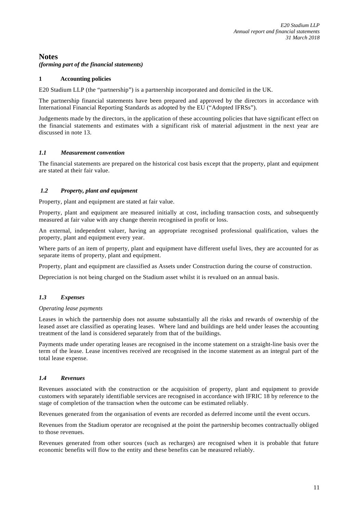# **Notes**

*(forming part of the financial statements)* 

# **1 Accounting policies**

E20 Stadium LLP (the "partnership") is a partnership incorporated and domiciled in the UK.

The partnership financial statements have been prepared and approved by the directors in accordance with International Financial Reporting Standards as adopted by the EU ("Adopted IFRSs").

Judgements made by the directors, in the application of these accounting policies that have significant effect on the financial statements and estimates with a significant risk of material adjustment in the next year are discussed in note 13.

# *1.1 Measurement convention*

The financial statements are prepared on the historical cost basis except that the property, plant and equipment are stated at their fair value.

# *1.2 Property, plant and equipment*

Property, plant and equipment are stated at fair value.

Property, plant and equipment are measured initially at cost, including transaction costs, and subsequently measured at fair value with any change therein recognised in profit or loss.

An external, independent valuer, having an appropriate recognised professional qualification, values the property, plant and equipment every year.

Where parts of an item of property, plant and equipment have different useful lives, they are accounted for as separate items of property, plant and equipment.

Property, plant and equipment are classified as Assets under Construction during the course of construction.

Depreciation is not being charged on the Stadium asset whilst it is revalued on an annual basis.

# *1.3 Expenses*

### *Operating lease payments*

Leases in which the partnership does not assume substantially all the risks and rewards of ownership of the leased asset are classified as operating leases. Where land and buildings are held under leases the accounting treatment of the land is considered separately from that of the buildings.

Payments made under operating leases are recognised in the income statement on a straight-line basis over the term of the lease. Lease incentives received are recognised in the income statement as an integral part of the total lease expense.

### *1.4 Revenues*

Revenues associated with the construction or the acquisition of property, plant and equipment to provide customers with separately identifiable services are recognised in accordance with IFRIC 18 by reference to the stage of completion of the transaction when the outcome can be estimated reliably.

Revenues generated from the organisation of events are recorded as deferred income until the event occurs.

Revenues from the Stadium operator are recognised at the point the partnership becomes contractually obliged to those revenues.

Revenues generated from other sources (such as recharges) are recognised when it is probable that future economic benefits will flow to the entity and these benefits can be measured reliably.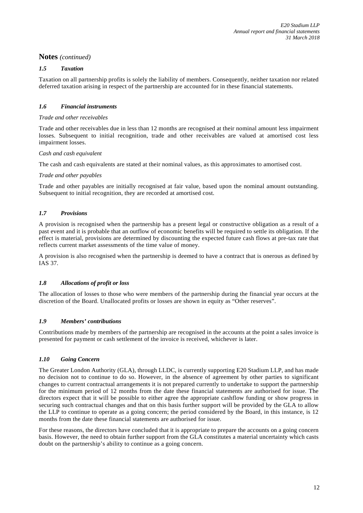# *1.5 Taxation*

Taxation on all partnership profits is solely the liability of members. Consequently, neither taxation nor related deferred taxation arising in respect of the partnership are accounted for in these financial statements.

# *1.6 Financial instruments*

### *Trade and other receivables*

Trade and other receivables due in less than 12 months are recognised at their nominal amount less impairment losses. Subsequent to initial recognition, trade and other receivables are valued at amortised cost less impairment losses.

### *Cash and cash equivalent*

The cash and cash equivalents are stated at their nominal values, as this approximates to amortised cost.

# *Trade and other payables*

Trade and other payables are initially recognised at fair value, based upon the nominal amount outstanding. Subsequent to initial recognition, they are recorded at amortised cost.

# *1.7 Provisions*

A provision is recognised when the partnership has a present legal or constructive obligation as a result of a past event and it is probable that an outflow of economic benefits will be required to settle its obligation. If the effect is material, provisions are determined by discounting the expected future cash flows at pre-tax rate that reflects current market assessments of the time value of money.

A provision is also recognised when the partnership is deemed to have a contract that is onerous as defined by IAS 37.

# *1.8 Allocations of profit or loss*

The allocation of losses to those who were members of the partnership during the financial year occurs at the discretion of the Board. Unallocated profits or losses are shown in equity as "Other reserves".

### *1.9 Members' contributions*

Contributions made by members of the partnership are recognised in the accounts at the point a sales invoice is presented for payment or cash settlement of the invoice is received, whichever is later.

# *1.10 Going Concern*

The Greater London Authority (GLA), through LLDC, is currently supporting E20 Stadium LLP, and has made no decision not to continue to do so. However, in the absence of agreement by other parties to significant changes to current contractual arrangements it is not prepared currently to undertake to support the partnership for the minimum period of 12 months from the date these financial statements are authorised for issue. The directors expect that it will be possible to either agree the appropriate cashflow funding or show progress in securing such contractual changes and that on this basis further support will be provided by the GLA to allow the LLP to continue to operate as a going concern; the period considered by the Board, in this instance, is 12 months from the date these financial statements are authorised for issue.

For these reasons, the directors have concluded that it is appropriate to prepare the accounts on a going concern basis. However, the need to obtain further support from the GLA constitutes a material uncertainty which casts doubt on the partnership's ability to continue as a going concern.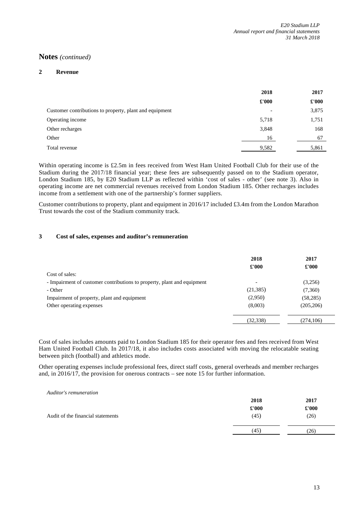### **2 Revenue**

|                                                         | 2018  | 2017  |
|---------------------------------------------------------|-------|-------|
|                                                         | £'000 | £'000 |
| Customer contributions to property, plant and equipment |       | 3,875 |
| Operating income                                        | 5,718 | 1,751 |
| Other recharges                                         | 3,848 | 168   |
| Other                                                   | 16    | 67    |
| Total revenue                                           | 9,582 | 5,861 |

Within operating income is £2.5m in fees received from West Ham United Football Club for their use of the Stadium during the 2017/18 financial year; these fees are subsequently passed on to the Stadium operator, London Stadium 185, by E20 Stadium LLP as reflected within 'cost of sales - other' (see note 3). Also in operating income are net commercial revenues received from London Stadium 185. Other recharges includes income from a settlement with one of the partnership's former suppliers.

Customer contributions to property, plant and equipment in 2016/17 included £3.4m from the London Marathon Trust towards the cost of the Stadium community track.

# **3 Cost of sales, expenses and auditor's remuneration**

|                                                                         | 2018<br>£'000            | 2017<br>$\pounds 000$ |
|-------------------------------------------------------------------------|--------------------------|-----------------------|
| Cost of sales:                                                          |                          |                       |
| - Impairment of customer contributions to property, plant and equipment | $\overline{\phantom{0}}$ | (3,256)               |
| - Other                                                                 | (21, 385)                | (7,360)               |
| Impairment of property, plant and equipment                             | (2,950)                  | (58, 285)             |
| Other operating expenses                                                | (8,003)                  | (205, 206)            |
|                                                                         | (32, 338)                | (274, 106)            |

Cost of sales includes amounts paid to London Stadium 185 for their operator fees and fees received from West Ham United Football Club. In 2017/18, it also includes costs associated with moving the relocatable seating between pitch (football) and athletics mode.

Other operating expenses include professional fees, direct staff costs, general overheads and member recharges and, in 2016/17, the provision for onerous contracts – see note 15 for further information.

| Auditor's remuneration            |               |       |
|-----------------------------------|---------------|-------|
|                                   | 2018          | 2017  |
|                                   | $\pounds 000$ | £'000 |
| Audit of the financial statements | (45)          | (26)  |
|                                   |               |       |
|                                   | (45)          | (26)  |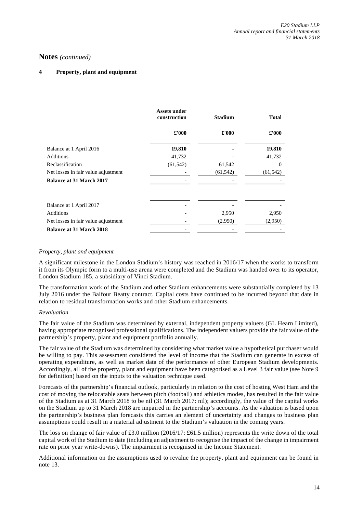# **4 Property, plant and equipment**

|                                     | <b>Assets under</b><br>construction | <b>Stadium</b> | <b>Total</b> |
|-------------------------------------|-------------------------------------|----------------|--------------|
|                                     | £'000                               | £'000          | £'000        |
| Balance at 1 April 2016             | 19,810                              |                | 19,810       |
| <b>Additions</b>                    | 41,732                              |                | 41,732       |
| Reclassification                    | (61, 542)                           | 61,542         | $\Omega$     |
| Net losses in fair value adjustment |                                     | (61, 542)      | (61, 542)    |
| <b>Balance at 31 March 2017</b>     |                                     |                |              |
| Balance at 1 April 2017             |                                     |                |              |
| <b>Additions</b>                    |                                     | 2,950          | 2,950        |
| Net losses in fair value adjustment |                                     | (2,950)        | (2,950)      |
|                                     |                                     |                |              |
| <b>Balance at 31 March 2018</b>     |                                     |                |              |

# *Property, plant and equipment*

A significant milestone in the London Stadium's history was reached in 2016/17 when the works to transform it from its Olympic form to a multi-use arena were completed and the Stadium was handed over to its operator, London Stadium 185, a subsidiary of Vinci Stadium.

The transformation work of the Stadium and other Stadium enhancements were substantially completed by 13 July 2016 under the Balfour Beatty contract. Capital costs have continued to be incurred beyond that date in relation to residual transformation works and other Stadium enhancements.

### *Revaluation*

The fair value of the Stadium was determined by external, independent property valuers (GL Hearn Limited), having appropriate recognised professional qualifications. The independent valuers provide the fair value of the partnership's property, plant and equipment portfolio annually.

The fair value of the Stadium was determined by considering what market value a hypothetical purchaser would be willing to pay. This assessment considered the level of income that the Stadium can generate in excess of operating expenditure, as well as market data of the performance of other European Stadium developments. Accordingly, all of the property, plant and equipment have been categorised as a Level 3 fair value (see Note 9 for definition) based on the inputs to the valuation technique used.

Forecasts of the partnership's financial outlook, particularly in relation to the cost of hosting West Ham and the cost of moving the relocatable seats between pitch (football) and athletics modes, has resulted in the fair value of the Stadium as at 31 March 2018 to be nil (31 March 2017: nil); accordingly, the value of the capital works on the Stadium up to 31 March 2018 are impaired in the partnership's accounts. As the valuation is based upon the partnership's business plan forecasts this carries an element of uncertainty and changes to business plan assumptions could result in a material adjustment to the Stadium's valuation in the coming years.

The loss on change of fair value of £3.0 million (2016/17: £61.5 million) represents the write down of the total capital work of the Stadium to date (including an adjustment to recognise the impact of the change in impairment rate on prior year write-downs). The impairment is recognised in the Income Statement.

Additional information on the assumptions used to revalue the property, plant and equipment can be found in note 13.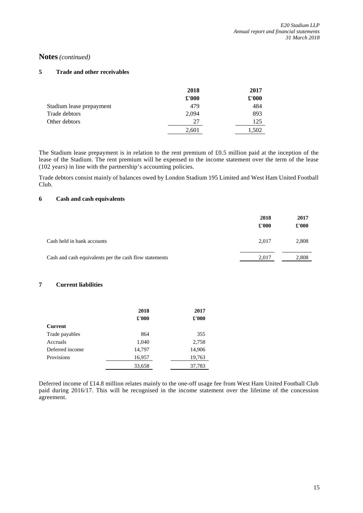# **5 Trade and other receivables**

|                          | 2018  | 2017  |
|--------------------------|-------|-------|
|                          | £'000 | £'000 |
| Stadium lease prepayment | 479   | 484   |
| Trade debtors            | 2,094 | 893   |
| Other debtors            | 27    | 125   |
|                          | 2,601 | 1.502 |

The Stadium lease prepayment is in relation to the rent premium of £0.5 million paid at the inception of the lease of the Stadium. The rent premium will be expensed to the income statement over the term of the lease (102 years) in line with the partnership's accounting policies.

Trade debtors consist mainly of balances owed by London Stadium 195 Limited and West Ham United Football Club.

# **6 Cash and cash equivalents**

|                                                        | 2018<br>£'000 | 2017<br>£'000 |
|--------------------------------------------------------|---------------|---------------|
| Cash held in bank accounts                             | 2.017         | 2,808         |
| Cash and cash equivalents per the cash flow statements | 2.017         | 2,808         |

### **7 Current liabilities**

|                 | 2018   | 2017   |
|-----------------|--------|--------|
|                 | £'000  | £'000  |
| <b>Current</b>  |        |        |
| Trade payables  | 864    | 355    |
| Accruals        | 1,040  | 2,758  |
| Deferred income | 14,797 | 14,906 |
| Provisions      | 16,957 | 19,763 |
|                 | 33,658 | 37,783 |

Deferred income of £14.8 million relates mainly to the one-off usage fee from West Ham United Football Club paid during 2016/17. This will be recognised in the income statement over the lifetime of the concession agreement.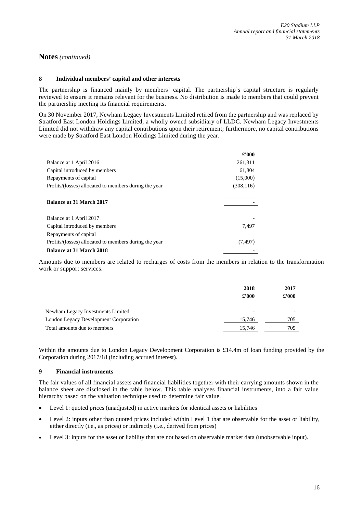### **8 Individual members' capital and other interests**

The partnership is financed mainly by members' capital. The partnership's capital structure is regularly reviewed to ensure it remains relevant for the business. No distribution is made to members that could prevent the partnership meeting its financial requirements.

On 30 November 2017, Newham Legacy Investments Limited retired from the partnership and was replaced by Stratford East London Holdings Limited, a wholly owned subsidiary of LLDC. Newham Legacy Investments Limited did not withdraw any capital contributions upon their retirement; furthermore, no capital contributions were made by Stratford East London Holdings Limited during the year.

|                                                       | £'000      |
|-------------------------------------------------------|------------|
| Balance at 1 April 2016                               | 261,311    |
| Capital introduced by members                         | 61,804     |
| Repayments of capital                                 | (15,000)   |
| Profits/(losses) allocated to members during the year | (308, 116) |
| Balance at 31 March 2017                              |            |
| Balance at 1 April 2017                               |            |
| Capital introduced by members                         | 7.497      |
| Repayments of capital                                 |            |
| Profits/(losses) allocated to members during the year | (7, 497)   |
| <b>Balance at 31 March 2018</b>                       |            |

Amounts due to members are related to recharges of costs from the members in relation to the transformation work or support services.

|                                       | 2018<br>£'000 | 2017<br>£'000 |
|---------------------------------------|---------------|---------------|
| Newham Legacy Investments Limited     |               |               |
| London Legacy Development Corporation | 15.746        | 705           |
| Total amounts due to members          | 15.746        | 705           |

Within the amounts due to London Legacy Development Corporation is £14.4m of loan funding provided by the Corporation during 2017/18 (including accrued interest).

### **9 Financial instruments**

The fair values of all financial assets and financial liabilities together with their carrying amounts shown in the balance sheet are disclosed in the table below. This table analyses financial instruments, into a fair value hierarchy based on the valuation technique used to determine fair value.

- Level 1: quoted prices (unadjusted) in active markets for identical assets or liabilities
- Level 2: inputs other than quoted prices included within Level 1 that are observable for the asset or liability, either directly (i.e., as prices) or indirectly (i.e., derived from prices)
- Level 3: inputs for the asset or liability that are not based on observable market data (unobservable input).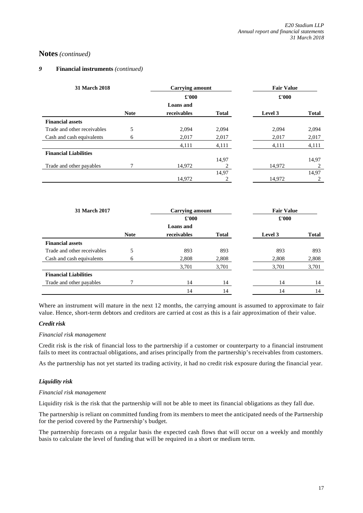### *9* **Financial instruments** *(continued)*

| 31 March 2018                |             | <b>Carrying amount</b> |              | <b>Fair Value</b> |              |
|------------------------------|-------------|------------------------|--------------|-------------------|--------------|
|                              |             | £'000                  |              | £'000             |              |
|                              |             | <b>Loans</b> and       |              |                   |              |
|                              | <b>Note</b> | receivables            | <b>Total</b> | Level 3           | <b>Total</b> |
| <b>Financial assets</b>      |             |                        |              |                   |              |
| Trade and other receivables  | 5           | 2,094                  | 2,094        | 2.094             | 2,094        |
| Cash and cash equivalents    | 6           | 2,017                  | 2,017        | 2,017             | 2,017        |
|                              |             | 4,111                  | 4,111        | 4,111             | 4,111        |
| <b>Financial Liabilities</b> |             |                        |              |                   |              |
|                              |             |                        | 14,97        |                   | 14,97        |
| Trade and other payables     |             | 14.972                 |              | 14,972            |              |
|                              |             |                        | 14.97        |                   | 14,97        |
|                              |             | 14,972                 | 2            | 14,972            | 2            |

| 31 March 2017                |             | <b>Carrying amount</b> |       | <b>Fair Value</b> |       |
|------------------------------|-------------|------------------------|-------|-------------------|-------|
|                              |             | £'000                  |       | £'000             |       |
|                              |             | <b>Loans</b> and       |       |                   |       |
|                              | <b>Note</b> | receivables            | Total | Level 3           | Total |
| <b>Financial assets</b>      |             |                        |       |                   |       |
| Trade and other receivables  | 5           | 893                    | 893   | 893               | 893   |
| Cash and cash equivalents    | 6           | 2,808                  | 2,808 | 2,808             | 2,808 |
|                              |             | 3,701                  | 3,701 | 3,701             | 3,701 |
| <b>Financial Liabilities</b> |             |                        |       |                   |       |
| Trade and other payables     |             | 14                     | 14    | 14                | 14    |
|                              |             | 14                     | 14    | 14                | 14    |

Where an instrument will mature in the next 12 months, the carrying amount is assumed to approximate to fair value. Hence, short-term debtors and creditors are carried at cost as this is a fair approximation of their value.

### *Credit risk*

### *Financial risk management*

Credit risk is the risk of financial loss to the partnership if a customer or counterparty to a financial instrument fails to meet its contractual obligations, and arises principally from the partnership's receivables from customers.

As the partnership has not yet started its trading activity, it had no credit risk exposure during the financial year.

# *Liquidity risk*

### *Financial risk management*

Liquidity risk is the risk that the partnership will not be able to meet its financial obligations as they fall due.

The partnership is reliant on committed funding from its members to meet the anticipated needs of the Partnership for the period covered by the Partnership's budget.

The partnership forecasts on a regular basis the expected cash flows that will occur on a weekly and monthly basis to calculate the level of funding that will be required in a short or medium term.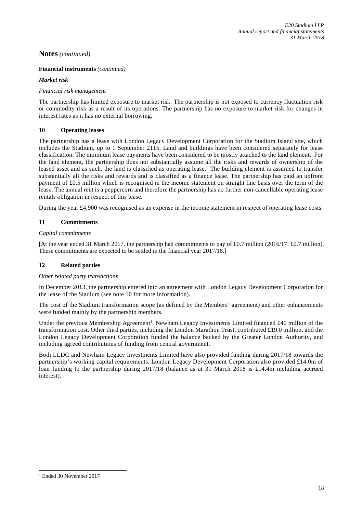# **Financial instruments** *(continued)*

# *Market risk*

# *Financial risk management*

The partnership has limited exposure to market risk. The partnership is not exposed to currency fluctuation risk or commodity risk as a result of its operations. The partnership has no exposure to market risk for changes in interest rates as it has no external borrowing.

# **10 Operating leases**

The partnership has a lease with London Legacy Development Corporation for the Stadium Island site, which includes the Stadium, up to 1 September 2115. Land and buildings have been considered separately for lease classification. The minimum lease payments have been considered to be mostly attached to the land element. For the land element, the partnership does not substantially assume all the risks and rewards of ownership of the leased asset and as such, the land is classified as operating lease. The building element is assumed to transfer substantially all the risks and rewards and is classified as a finance lease. The partnership has paid an upfront payment of £0.5 million which is recognised in the income statement on straight line basis over the term of the lease. The annual rent is a peppercorn and therefore the partnership has no further non-cancellable operating lease rentals obligation in respect of this lease.

During the year £4,900 was recognised as an expense in the income statement in respect of operating lease costs.

# **11 Commitments**

# *Capital commitments*

[At the year ended 31 March 2017, the partnership had commitments to pay of £0.7 million (2016/17: £0.7 million). These commitments are expected to be settled in the financial year 2017/18.]

# **12 Related parties**

### *Other related party transactions*

In December 2013, the partnership entered into an agreement with London Legacy Development Corporation for the lease of the Stadium (see note 10 for more information).

The cost of the Stadium transformation scope (as defined by the Members' agreement) and other enhancements were funded mainly by the partnership members.

Under the previous Membership Agreement<sup>1</sup>, Newham Legacy Investments Limited financed £40 million of the transformation cost. Other third parties, including the London Marathon Trust, contributed £19.0 million, and the London Legacy Development Corporation funded the balance backed by the Greater London Authority, and including agreed contributions of funding from central government.

Both LLDC and Newham Legacy Investments Limited have also provided funding during 2017/18 towards the partnership's working capital requirements. London Legacy Development Corporation also provided £14.0m of loan funding to the partnership during 2017/18 (balance as at 31 March 2018 is £14.4m including accrued interest).

1

<sup>1</sup> Ended 30 November 2017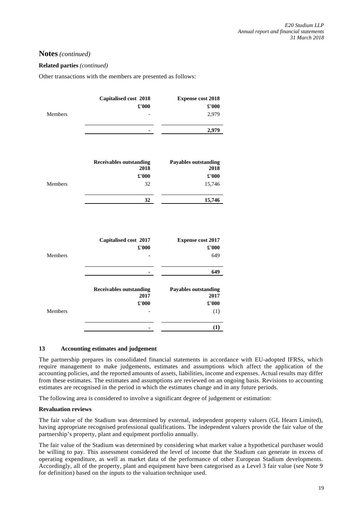# **Related parties** *(continued)*

Other transactions with the members are presented as follows:

| Members | Capitalised cost 2018<br>£'000         | <b>Expense cost 2018</b><br>$\pounds 000$<br>2,979 |
|---------|----------------------------------------|----------------------------------------------------|
|         | ۰                                      | 2,979                                              |
|         | <b>Receivables outstanding</b><br>2018 | <b>Payables outstanding</b><br>2018                |
|         | £'000                                  | £'000                                              |
| Members | 32<br>32                               | 15,746<br>15,746                                   |
|         |                                        |                                                    |
|         | Capitalised cost 2017<br>£'000         | <b>Expense cost 2017</b><br>$\pounds 000$          |

|         | x vvv                                  | x vvv                               |
|---------|----------------------------------------|-------------------------------------|
| Members |                                        | 649                                 |
|         |                                        | 649                                 |
|         | <b>Receivables outstanding</b><br>2017 | <b>Payables outstanding</b><br>2017 |
|         | £'000                                  | $\pounds 000$                       |
| Members |                                        | (1)                                 |
|         |                                        | (1)                                 |

### **13 Accounting estimates and judgement**

The partnership prepares its consolidated financial statements in accordance with EU-adopted IFRSs, which require management to make judgements, estimates and assumptions which affect the application of the accounting policies, and the reported amounts of assets, liabilities, income and expenses. Actual results may differ from these estimates. The estimates and assumptions are reviewed on an ongoing basis. Revisions to accounting estimates are recognised in the period in which the estimates change and in any future periods.

The following area is considered to involve a significant degree of judgement or estimation:

### **Revaluation reviews**

The fair value of the Stadium was determined by external, independent property valuers (GL Hearn Limited), having appropriate recognised professional qualifications. The independent valuers provide the fair value of the partnership's property, plant and equipment portfolio annually.

The fair value of the Stadium was determined by considering what market value a hypothetical purchaser would be willing to pay. This assessment considered the level of income that the Stadium can generate in excess of operating expenditure, as well as market data of the performance of other European Stadium developments. Accordingly, all of the property, plant and equipment have been categorised as a Level 3 fair value (see Note 9 for definition) based on the inputs to the valuation technique used.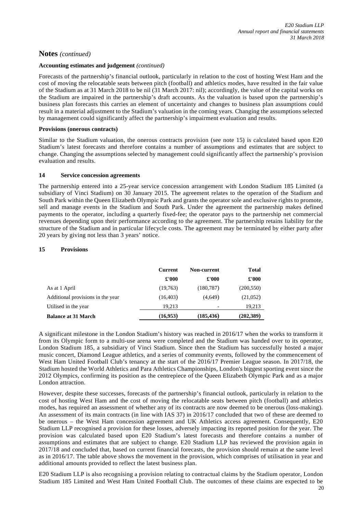#### **Accounting estimates and judgement** *(continued)*

Forecasts of the partnership's financial outlook, particularly in relation to the cost of hosting West Ham and the cost of moving the relocatable seats between pitch (football) and athletics modes, have resulted in the fair value of the Stadium as at 31 March 2018 to be nil (31 March 2017: nil); accordingly, the value of the capital works on the Stadium are impaired in the partnership's draft accounts. As the valuation is based upon the partnership's business plan forecasts this carries an element of uncertainty and changes to business plan assumptions could result in a material adjustment to the Stadium's valuation in the coming years. Changing the assumptions selected by management could significantly affect the partnership's impairment evaluation and results.

#### **Provisions (onerous contracts)**

Similar to the Stadium valuation, the onerous contracts provision (see note 15) is calculated based upon E20 Stadium's latest forecasts and therefore contains a number of assumptions and estimates that are subject to change. Changing the assumptions selected by management could significantly affect the partnership's provision evaluation and results.

#### **14 Service concession agreements**

The partnership entered into a 25-year service concession arrangement with London Stadium 185 Limited (a subsidiary of Vinci Stadium) on 30 January 2015. The agreement relates to the operation of the Stadium and South Park within the Queen Elizabeth Olympic Park and grants the operator sole and exclusive rights to promote, sell and manage events in the Stadium and South Park. Under the agreement the partnership makes defined payments to the operator, including a quarterly fixed-fee; the operator pays to the partnership net commercial revenues depending upon their performance according to the agreement. The partnership retains liability for the structure of the Stadium and in particular lifecycle costs. The agreement may be terminated by either party after 20 years by giving not less than 3 years' notice.

### **15 Provisions**

|                                   | <b>Current</b> | Non-current | <b>Total</b> |
|-----------------------------------|----------------|-------------|--------------|
|                                   | £'000          | £'000       | £'000        |
| As at 1 April                     | (19,763)       | (180, 787)  | (200, 550)   |
| Additional provisions in the year | (16, 403)      | (4,649)     | (21,052)     |
| Utilised in the year              | 19.213         |             | 19,213       |
| <b>Balance at 31 March</b>        | (16,953)       | (185, 436)  | (202, 389)   |

A significant milestone in the London Stadium's history was reached in 2016/17 when the works to transform it from its Olympic form to a multi-use arena were completed and the Stadium was handed over to its operator, London Stadium 185, a subsidiary of Vinci Stadium. Since then the Stadium has successfully hosted a major music concert, Diamond League athletics, and a series of community events, followed by the commencement of West Ham United Football Club's tenancy at the start of the 2016/17 Premier League season. In 2017/18, the Stadium hosted the World Athletics and Para Athletics Championships, London's biggest sporting event since the 2012 Olympics, confirming its position as the centrepiece of the Queen Elizabeth Olympic Park and as a major London attraction.

However, despite these successes, forecasts of the partnership's financial outlook, particularly in relation to the cost of hosting West Ham and the cost of moving the relocatable seats between pitch (football) and athletics modes, has required an assessment of whether any of its contracts are now deemed to be onerous (loss-making). An assessment of its main contracts (in line with IAS 37) in 2016/17 concluded that two of these are deemed to be onerous – the West Ham concession agreement and UK Athletics access agreement. Consequently, E20 Stadium LLP recognised a provision for these losses, adversely impacting its reported position for the year. The provision was calculated based upon E20 Stadium's latest forecasts and therefore contains a number of assumptions and estimates that are subject to change. E20 Stadium LLP has reviewed the provision again in 2017/18 and concluded that, based on current financial forecasts, the provision should remain at the same level as in 2016/17. The table above shows the movement in the provision, which comprises of utilisation in year and additional amounts provided to reflect the latest business plan.

E20 Stadium LLP is also recognising a provision relating to contractual claims by the Stadium operator, London Stadium 185 Limited and West Ham United Football Club. The outcomes of these claims are expected to be